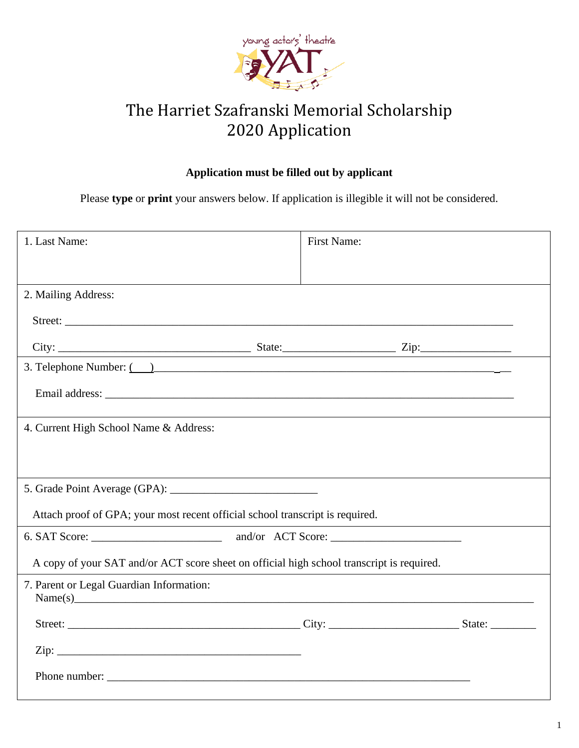

## The Harriet Szafranski Memorial Scholarship 2020 Application

## **Application must be filled out by applicant**

Please **type** or **print** your answers below. If application is illegible it will not be considered.

| 1. Last Name:                                                                             | First Name: |  |
|-------------------------------------------------------------------------------------------|-------------|--|
|                                                                                           |             |  |
| 2. Mailing Address:                                                                       |             |  |
|                                                                                           |             |  |
|                                                                                           |             |  |
| 3. Telephone Number: ()                                                                   |             |  |
|                                                                                           |             |  |
| 4. Current High School Name & Address:                                                    |             |  |
|                                                                                           |             |  |
|                                                                                           |             |  |
| Attach proof of GPA; your most recent official school transcript is required.             |             |  |
|                                                                                           |             |  |
| A copy of your SAT and/or ACT score sheet on official high school transcript is required. |             |  |
| 7. Parent or Legal Guardian Information:                                                  |             |  |
|                                                                                           |             |  |
|                                                                                           |             |  |
|                                                                                           |             |  |
| Name(s)                                                                                   |             |  |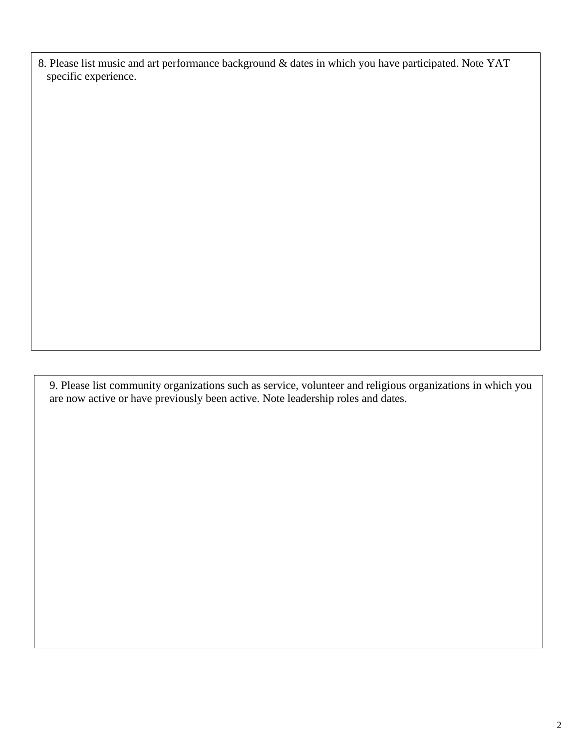8. Please list music and art performance background & dates in which you have participated. Note YAT specific experience.

9. Please list community organizations such as service, volunteer and religious organizations in which you are now active or have previously been active. Note leadership roles and dates.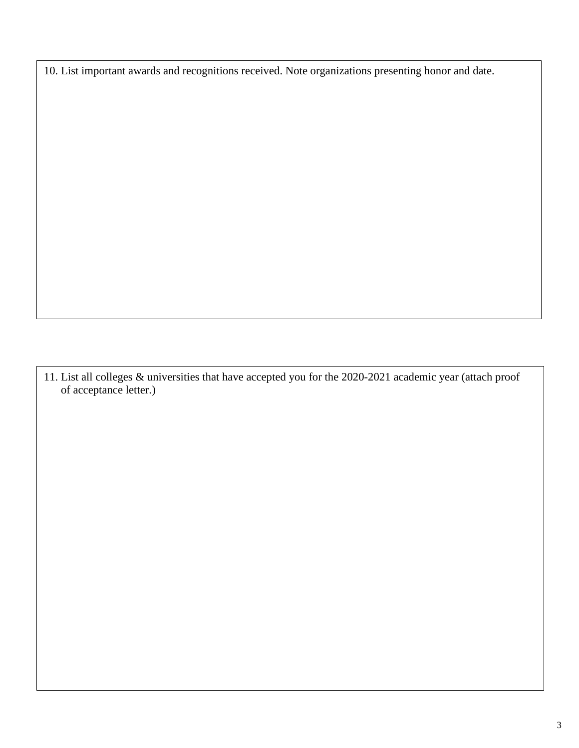10. List important awards and recognitions received. Note organizations presenting honor and date.

11. List all colleges & universities that have accepted you for the 2020-2021 academic year (attach proof of acceptance letter.)